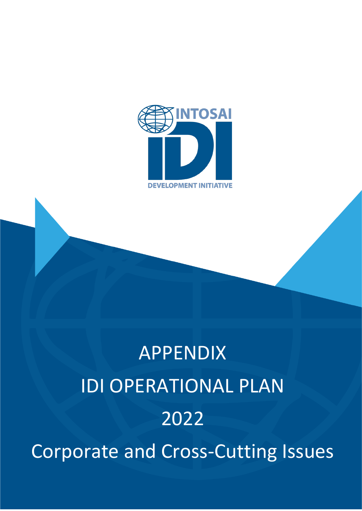

# APPENDIX IDI OPERATIONAL PLAN 2022 Corporate and Cross-Cutting Issues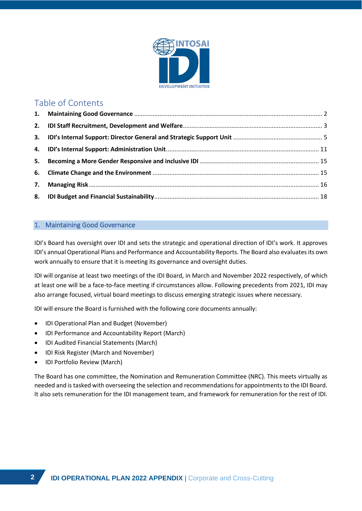

# Table of Contents

# <span id="page-1-0"></span>1. Maintaining Good Governance

IDI's Board has oversight over IDI and sets the strategic and operational direction of IDI's work. It approves IDI's annual Operational Plans and Performance and Accountability Reports. The Board also evaluates its own work annually to ensure that it is meeting its governance and oversight duties.

IDI will organise at least two meetings of the IDI Board, in March and November 2022 respectively, of which at least one will be a face-to-face meeting if circumstances allow. Following precedents from 2021, IDI may also arrange focused, virtual board meetings to discuss emerging strategic issues where necessary.

IDI will ensure the Board is furnished with the following core documents annually:

- IDI Operational Plan and Budget (November)
- IDI Performance and Accountability Report (March)
- IDI Audited Financial Statements (March)
- IDI Risk Register (March and November)
- IDI Portfolio Review (March)

The Board has one committee, the Nomination and Remuneration Committee (NRC). This meets virtually as needed and is tasked with overseeing the selection and recommendations for appointments to the IDI Board. It also sets remuneration for the IDI management team, and framework for remuneration for the rest of IDI.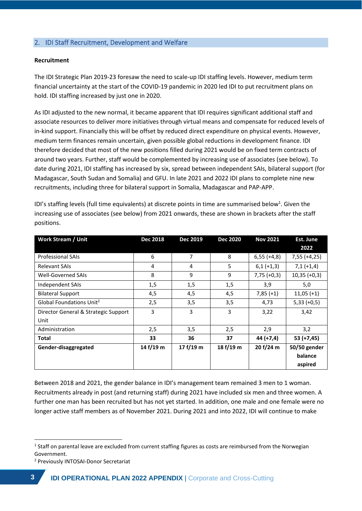# <span id="page-2-0"></span>2. IDI Staff Recruitment, Development and Welfare

### **Recruitment**

The IDI Strategic Plan 2019-23 foresaw the need to scale-up IDI staffing levels. However, medium term financial uncertainty at the start of the COVID-19 pandemic in 2020 led IDI to put recruitment plans on hold. IDI staffing increased by just one in 2020.

As IDI adjusted to the new normal, it became apparent that IDI requires significant additional staff and associate resources to deliver more initiatives through virtual means and compensate for reduced levels of in-kind support. Financially this will be offset by reduced direct expenditure on physical events. However, medium term finances remain uncertain, given possible global reductions in development finance. IDI therefore decided that most of the new positions filled during 2021 would be on fixed term contracts of around two years. Further, staff would be complemented by increasing use of associates (see below). To date during 2021, IDI staffing has increased by six, spread between independent SAIs, bilateral support (for Madagascar, South Sudan and Somalia) and GFU. In late 2021 and 2022 IDI plans to complete nine new recruitments, including three for bilateral support in Somalia, Madagascar and PAP-APP.

| <b>Work Stream / Unit</b>            | <b>Dec 2018</b> | Dec 2019    | <b>Dec 2020</b> | <b>Nov 2021</b> | Est. June      |
|--------------------------------------|-----------------|-------------|-----------------|-----------------|----------------|
|                                      |                 |             |                 |                 | 2022           |
| <b>Professional SAIs</b>             | 6               | 7           | 8               | $6,55 (+4,8)$   | $7,55 (+4,25)$ |
| <b>Relevant SAIs</b>                 | 4               | 4           | 5               | $6,1 (+1,3)$    | $7,1 (+1,4)$   |
| <b>Well-Governed SAIs</b>            | 8               | 9           | 9               | $7,75 (+0,3)$   | $10,35 (+0,3)$ |
| Independent SAIs                     | 1,5             | 1,5         | 1,5             | 3,9             | 5,0            |
| <b>Bilateral Support</b>             | 4,5             | 4,5         | 4,5             | $7,85(+1)$      | $11,05 (+1)$   |
| Global Foundations Unit <sup>2</sup> | 2,5             | 3,5         | 3,5             | 4,73            | $5,33 (+0,5)$  |
| Director General & Strategic Support | 3               | 3           | 3               | 3,22            | 3,42           |
| Unit                                 |                 |             |                 |                 |                |
| Administration                       | 2,5             | 3,5         | 2,5             | 2,9             | 3,2            |
| Total                                | 33              | 36          | 37              | $44 (+7,4)$     | $53 (+7,45)$   |
| Gender-disaggregated                 | 14 $f/19$ m     | 17 $f/19$ m | 18 $f/19$ m     | 20 f/24 m       | 50/50 gender   |
|                                      |                 |             |                 |                 | balance        |
|                                      |                 |             |                 |                 | aspired        |

IDI's staffing levels (full time equivalents) at discrete points in time are summarised below<sup>1</sup>. Given the increasing use of associates (see below) from 2021 onwards, these are shown in brackets after the staff positions.

Between 2018 and 2021, the gender balance in IDI's management team remained 3 men to 1 woman. Recruitments already in post (and returning staff) during 2021 have included six men and three women. A further one man has been recruited but has not yet started. In addition, one male and one female were no longer active staff members as of November 2021. During 2021 and into 2022, IDI will continue to make

<sup>&</sup>lt;sup>1</sup> Staff on parental leave are excluded from current staffing figures as costs are reimbursed from the Norwegian Government.

<sup>2</sup> Previously INTOSAI-Donor Secretariat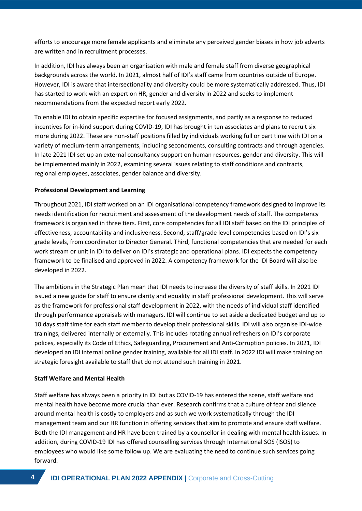efforts to encourage more female applicants and eliminate any perceived gender biases in how job adverts are written and in recruitment processes.

In addition, IDI has always been an organisation with male and female staff from diverse geographical backgrounds across the world. In 2021, almost half of IDI's staff came from countries outside of Europe. However, IDI is aware that intersectionality and diversity could be more systematically addressed. Thus, IDI has started to work with an expert on HR, gender and diversity in 2022 and seeks to implement recommendations from the expected report early 2022.

To enable IDI to obtain specific expertise for focused assignments, and partly as a response to reduced incentives for in-kind support during COVID-19, IDI has brought in ten associates and plans to recruit six more during 2022. These are non-staff positions filled by individuals working full or part time with IDI on a variety of medium-term arrangements, including secondments, consulting contracts and through agencies. In late 2021 IDI set up an external consultancy support on human resources, gender and diversity. This will be implemented mainly in 2022, examining several issues relating to staff conditions and contracts, regional employees, associates, gender balance and diversity.

# **Professional Development and Learning**

Throughout 2021, IDI staff worked on an IDI organisational competency framework designed to improve its needs identification for recruitment and assessment of the development needs of staff. The competency framework is organised in three tiers. First, core competencies for all IDI staff based on the IDI principles of effectiveness, accountability and inclusiveness. Second, staff/grade level competencies based on IDI's six grade levels, from coordinator to Director General. Third, functional competencies that are needed for each work stream or unit in IDI to deliver on IDI's strategic and operational plans. IDI expects the competency framework to be finalised and approved in 2022. A competency framework for the IDI Board will also be developed in 2022.

The ambitions in the Strategic Plan mean that IDI needs to increase the diversity of staff skills. In 2021 IDI issued a new guide for staff to ensure clarity and equality in staff professional development. This will serve as the framework for professional staff development in 2022, with the needs of individual staff identified through performance appraisals with managers. IDI will continue to set aside a dedicated budget and up to 10 days staff time for each staff member to develop their professional skills. IDI will also organise IDI-wide trainings, delivered internally or externally. This includes rotating annual refreshers on IDI's corporate polices, especially its Code of Ethics, Safeguarding, Procurement and Anti-Corruption policies. In 2021, IDI developed an IDI internal online gender training, available for all IDI staff. In 2022 IDI will make training on strategic foresight available to staff that do not attend such training in 2021.

# **Staff Welfare and Mental Health**

Staff welfare has always been a priority in IDI but as COVID-19 has entered the scene, staff welfare and mental health have become more crucial than ever. Research confirms that a culture of fear and silence around mental health is costly to employers and as such we work systematically through the IDI management team and our HR function in offering services that aim to promote and ensure staff welfare. Both the IDI management and HR have been trained by a counsellor in dealing with mental health issues. In addition, during COVID-19 IDI has offered counselling services through International SOS (ISOS) to employees who would like some follow up. We are evaluating the need to continue such services going forward.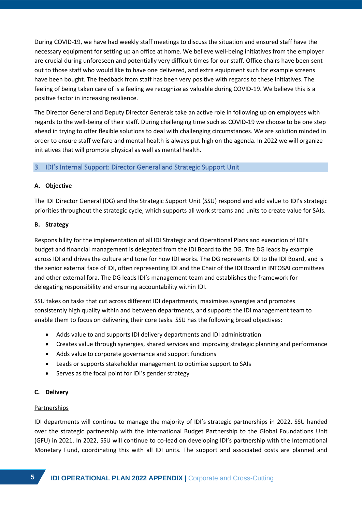During COVID-19, we have had weekly staff meetings to discuss the situation and ensured staff have the necessary equipment for setting up an office at home. We believe well-being initiatives from the employer are crucial during unforeseen and potentially very difficult times for our staff. Office chairs have been sent out to those staff who would like to have one delivered, and extra equipment such for example screens have been bought. The feedback from staff has been very positive with regards to these initiatives. The feeling of being taken care of is a feeling we recognize as valuable during COVID-19. We believe this is a positive factor in increasing resilience.

The Director General and Deputy Director Generals take an active role in following up on employees with regards to the well-being of their staff. During challenging time such as COVID-19 we choose to be one step ahead in trying to offer flexible solutions to deal with challenging circumstances. We are solution minded in order to ensure staff welfare and mental health is always put high on the agenda. In 2022 we will organize initiatives that will promote physical as well as mental health.

# <span id="page-4-0"></span>3. IDI's Internal Support: Director General and Strategic Support Unit

# **A. Objective**

The IDI Director General (DG) and the Strategic Support Unit (SSU) respond and add value to IDI's strategic priorities throughout the strategic cycle, which supports all work streams and units to create value for SAIs.

# **B. Strategy**

Responsibility for the implementation of all IDI Strategic and Operational Plans and execution of IDI's budget and financial management is delegated from the IDI Board to the DG. The DG leads by example across IDI and drives the culture and tone for how IDI works. The DG represents IDI to the IDI Board, and is the senior external face of IDI, often representing IDI and the Chair of the IDI Board in INTOSAI committees and other external fora. The DG leads IDI's management team and establishes the framework for delegating responsibility and ensuring accountability within IDI.

SSU takes on tasks that cut across different IDI departments, maximises synergies and promotes consistently high quality within and between departments, and supports the IDI management team to enable them to focus on delivering their core tasks. SSU has the following broad objectives:

- Adds value to and supports IDI delivery departments and IDI administration
- Creates value through synergies, shared services and improving strategic planning and performance
- Adds value to corporate governance and support functions
- Leads or supports stakeholder management to optimise support to SAIs
- Serves as the focal point for IDI's gender strategy

# **C. Delivery**

# **Partnerships**

IDI departments will continue to manage the majority of IDI's strategic partnerships in 2022. SSU handed over the strategic partnership with the International Budget Partnership to the Global Foundations Unit (GFU) in 2021. In 2022, SSU will continue to co-lead on developing IDI's partnership with the International Monetary Fund, coordinating this with all IDI units. The support and associated costs are planned and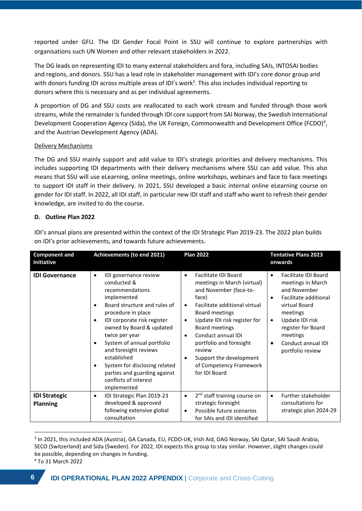reported under GFU. The IDI Gender Focal Point in SSU will continue to explore partnerships with organisations such UN Women and other relevant stakeholders in 2022.

The DG leads on representing IDI to many external stakeholders and fora, including SAIs, INTOSAI bodies and regions, and donors. SSU has a lead role in stakeholder management with IDI's core donor group and with donors funding IDI across multiple areas of IDI's work<sup>3</sup>. This also includes individual reporting to donors where this is necessary and as per individual agreements.

A proportion of DG and SSU costs are reallocated to each work stream and funded through those work streams, while the remainder is funded through IDI core support from SAI Norway, the Swedish International Development Cooperation Agency (Sida), the UK Foreign, Commonwealth and Development Office (FCDO)<sup>4</sup>, and the Austrian Development Agency (ADA).

# Delivery Mechanisms

The DG and SSU mainly support and add value to IDI's strategic priorities and delivery mechanisms. This includes supporting IDI departments with their delivery mechanisms where SSU can add value. This also means that SSU will use eLearning, online meetings, online workshops, webinars and face to face meetings to support IDI staff in their delivery. In 2021, SSU developed a basic internal online eLearning course on gender for IDI staff. In 2022, all IDI staff, in particular new IDI staff and staff who want to refresh their gender knowledge, are invited to do the course.

# **D. Outline Plan 2022**

| <b>Component and</b><br><b>Initiative</b> | Achievements (to end 2021)                                                                                                                                                                                                                                                                                                                                                                                                                                | <b>Plan 2022</b>                                                                                                                                                                                                                                                                                                                                                                               | <b>Tentative Plans 2023</b><br>onwards                                                                                                                                                                                                                                    |
|-------------------------------------------|-----------------------------------------------------------------------------------------------------------------------------------------------------------------------------------------------------------------------------------------------------------------------------------------------------------------------------------------------------------------------------------------------------------------------------------------------------------|------------------------------------------------------------------------------------------------------------------------------------------------------------------------------------------------------------------------------------------------------------------------------------------------------------------------------------------------------------------------------------------------|---------------------------------------------------------------------------------------------------------------------------------------------------------------------------------------------------------------------------------------------------------------------------|
| <b>IDI Governance</b>                     | IDI governance review<br>$\bullet$<br>conducted &<br>recommendations<br>implemented<br>Board structure and rules of<br>$\bullet$<br>procedure in place<br>IDI corporate risk register<br>$\bullet$<br>owned by Board & updated<br>twice per year<br>System of annual portfolio<br>$\bullet$<br>and foresight reviews<br>established<br>System for disclosing related<br>$\bullet$<br>parties and guarding against<br>conflicts of interest<br>implemented | Facilitate IDI Board<br>$\bullet$<br>meetings in March (virtual)<br>and November (face-to-<br>face)<br>Facilitate additional virtual<br>$\bullet$<br>Board meetings<br>Update IDI risk register for<br>$\bullet$<br>Board meetings<br>Conduct annual IDI<br>$\bullet$<br>portfolio and foresight<br>review<br>Support the development<br>$\bullet$<br>of Competency Framework<br>for IDI Board | <b>Facilitate IDI Board</b><br>$\bullet$<br>meetings in March<br>and November<br>Facilitate additional<br>$\bullet$<br>virtual Board<br>meetings<br>Update IDI risk<br>$\bullet$<br>register for Board<br>meetings<br>Conduct annual IDI<br>$\bullet$<br>portfolio review |
| <b>IDI Strategic</b><br><b>Planning</b>   | IDI Strategic Plan 2019-23<br>$\bullet$<br>developed & approved<br>following extensive global<br>consultation                                                                                                                                                                                                                                                                                                                                             | 2 <sup>nd</sup> staff training course on<br>$\bullet$<br>strategic foresight<br>Possible future scenarios<br>$\bullet$<br>for SAIs and IDI identified                                                                                                                                                                                                                                          | Further stakeholder<br>$\bullet$<br>consultations for<br>strategic plan 2024-29                                                                                                                                                                                           |

IDI's annual plans are presented within the context of the IDI Strategic Plan 2019-23. The 2022 plan builds on IDI's prior achievements, and towards future achievements.

<sup>&</sup>lt;sup>3</sup> In 2021, this included ADA (Austria), GA Canada, EU, FCDO-UK, Irish Aid, OAG Norway, SAI Qatar, SAI Saudi Arabia, SECO (Switzerland) and Sida (Sweden). For 2022, IDI expects this group to stay similar. However, slight changes could be possible, depending on changes in funding.

<sup>4</sup> To 31 March 2022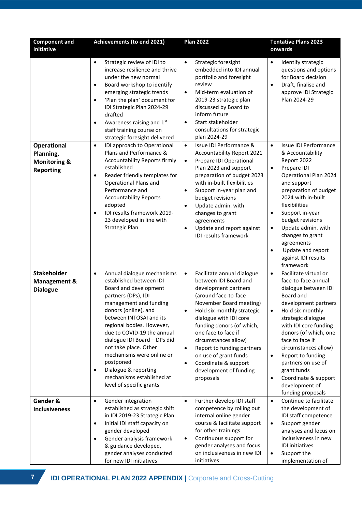| <b>Component and</b><br><b>Initiative</b>                                      | Achievements (to end 2021)                                                                                                                                                                                                                                                                                                                                                                                                                                  | <b>Plan 2022</b>                                                                                                                                                                                                                                                                                                                                                                                                                             | <b>Tentative Plans 2023</b><br>onwards                                                                                                                                                                                                                                                                                                                                                                                        |  |  |
|--------------------------------------------------------------------------------|-------------------------------------------------------------------------------------------------------------------------------------------------------------------------------------------------------------------------------------------------------------------------------------------------------------------------------------------------------------------------------------------------------------------------------------------------------------|----------------------------------------------------------------------------------------------------------------------------------------------------------------------------------------------------------------------------------------------------------------------------------------------------------------------------------------------------------------------------------------------------------------------------------------------|-------------------------------------------------------------------------------------------------------------------------------------------------------------------------------------------------------------------------------------------------------------------------------------------------------------------------------------------------------------------------------------------------------------------------------|--|--|
|                                                                                | Strategic review of IDI to<br>$\bullet$<br>increase resilience and thrive<br>under the new normal<br>Board workshop to identify<br>$\bullet$<br>emerging strategic trends<br>'Plan the plan' document for<br>$\bullet$<br>IDI Strategic Plan 2024-29<br>drafted<br>Awareness raising and 1st<br>$\bullet$<br>staff training course on<br>strategic foresight delivered                                                                                      | Strategic foresight<br>$\bullet$<br>embedded into IDI annual<br>portfolio and foresight<br>review<br>Mid-term evaluation of<br>$\bullet$<br>2019-23 strategic plan<br>discussed by Board to<br>inform future<br>Start stakeholder<br>$\bullet$<br>consultations for strategic<br>plan 2024-29                                                                                                                                                | Identify strategic<br>$\bullet$<br>questions and options<br>for Board decision<br>Draft, finalise and<br>$\bullet$<br>approve IDI Strategic<br>Plan 2024-29                                                                                                                                                                                                                                                                   |  |  |
| <b>Operational</b><br>Planning,<br><b>Monitoring &amp;</b><br><b>Reporting</b> | IDI approach to Operational<br>$\bullet$<br>Plans and Performance &<br><b>Accountability Reports firmly</b><br>established<br>Reader friendly templates for<br>$\bullet$<br>Operational Plans and<br>Performance and<br><b>Accountability Reports</b><br>adopted<br>IDI results framework 2019-<br>$\bullet$<br>23 developed in line with<br><b>Strategic Plan</b>                                                                                          | Issue IDI Performance &<br>$\bullet$<br>Accountability Report 2021<br>Prepare IDI Operational<br>$\bullet$<br>Plan 2023 and support<br>preparation of budget 2023<br>with in-built flexibilities<br>Support in-year plan and<br>$\bullet$<br>budget revisions<br>Update admin. with<br>$\bullet$<br>changes to grant<br>agreements<br>Update and report against<br>$\bullet$<br>IDI results framework                                        | <b>Issue IDI Performance</b><br>$\bullet$<br>& Accountability<br>Report 2022<br>Prepare IDI<br>$\bullet$<br>Operational Plan 2024<br>and support<br>preparation of budget<br>2024 with in-built<br>flexibilities<br>Support in-year<br>$\bullet$<br>budget revisions<br>Update admin. with<br>$\bullet$<br>changes to grant<br>agreements<br>Update and report<br>$\bullet$<br>against IDI results<br>framework               |  |  |
| <b>Stakeholder</b><br><b>Management &amp;</b><br><b>Dialogue</b>               | Annual dialogue mechanisms<br>$\bullet$<br>established between IDI<br>Board and development<br>partners (DPs), IDI<br>management and funding<br>donors (online), and<br>between INTOSAI and its<br>regional bodies. However,<br>due to COVID-19 the annual<br>dialogue IDI Board - DPs did<br>not take place. Other<br>mechanisms were online or<br>postponed<br>Dialogue & reporting<br>$\bullet$<br>mechanisms established at<br>level of specific grants | Facilitate annual dialogue<br>$\bullet$<br>between IDI Board and<br>development partners<br>(around face-to-face<br>November Board meeting)<br>Hold six-monthly strategic<br>$\bullet$<br>dialogue with IDI core<br>funding donors (of which,<br>one face to face if<br>circumstances allow)<br>$\bullet$<br>Report to funding partners<br>on use of grant funds<br>Coordinate & support<br>$\bullet$<br>development of funding<br>proposals | Facilitate virtual or<br>$\bullet$<br>face-to-face annual<br>dialogue between IDI<br>Board and<br>development partners<br>Hold six-monthly<br>$\bullet$<br>strategic dialogue<br>with IDI core funding<br>donors (of which, one<br>face to face if<br>circumstances allow)<br>Report to funding<br>$\bullet$<br>partners on use of<br>grant funds<br>Coordinate & support<br>$\bullet$<br>development of<br>funding proposals |  |  |
| Gender &<br><b>Inclusiveness</b>                                               | Gender integration<br>$\bullet$<br>established as strategic shift<br>in IDI 2019-23 Strategic Plan<br>Initial IDI staff capacity on<br>$\bullet$<br>gender developed<br>Gender analysis framework<br>$\bullet$<br>& guidance developed,<br>gender analyses conducted<br>for new IDI initiatives                                                                                                                                                             | Further develop IDI staff<br>$\bullet$<br>competence by rolling out<br>internal online gender<br>course & facilitate support<br>for other trainings<br>Continuous support for<br>$\bullet$<br>gender analyses and focus<br>on inclusiveness in new IDI<br>initiatives                                                                                                                                                                        | Continue to facilitate<br>$\bullet$<br>the development of<br>IDI staff competence<br>Support gender<br>$\bullet$<br>analyses and focus on<br>inclusiveness in new<br>IDI initiatives<br>Support the<br>$\bullet$<br>implementation of                                                                                                                                                                                         |  |  |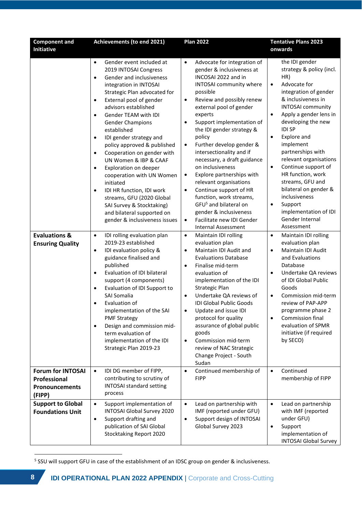| <b>Component and</b><br>Initiative                                          | Achievements (to end 2021)                                                                                                                                                                                                                                                                                                                                                                                                                                                                                                                                                                                                                                                                                                                                 | <b>Plan 2022</b>                                                                                                                                                                                                                                                                                                                                                                                                                                                                                                                                                                                                                                                                                                                               | <b>Tentative Plans 2023</b><br>onwards                                                                                                                                                                                                                                                                                                                                                                                                                                                                                                                                        |  |
|-----------------------------------------------------------------------------|------------------------------------------------------------------------------------------------------------------------------------------------------------------------------------------------------------------------------------------------------------------------------------------------------------------------------------------------------------------------------------------------------------------------------------------------------------------------------------------------------------------------------------------------------------------------------------------------------------------------------------------------------------------------------------------------------------------------------------------------------------|------------------------------------------------------------------------------------------------------------------------------------------------------------------------------------------------------------------------------------------------------------------------------------------------------------------------------------------------------------------------------------------------------------------------------------------------------------------------------------------------------------------------------------------------------------------------------------------------------------------------------------------------------------------------------------------------------------------------------------------------|-------------------------------------------------------------------------------------------------------------------------------------------------------------------------------------------------------------------------------------------------------------------------------------------------------------------------------------------------------------------------------------------------------------------------------------------------------------------------------------------------------------------------------------------------------------------------------|--|
| <b>Evaluations &amp;</b>                                                    | Gender event included at<br>$\bullet$<br>2019 INTOSAI Congress<br>Gender and inclusiveness<br>$\bullet$<br>integration in INTOSAI<br>Strategic Plan advocated for<br>External pool of gender<br>$\bullet$<br>advisors established<br>Gender TEAM with IDI<br>$\bullet$<br><b>Gender Champions</b><br>established<br>IDI gender strategy and<br>$\bullet$<br>policy approved & published<br>Cooperation on gender with<br>$\bullet$<br>UN Women & IBP & CAAF<br>Exploration on deeper<br>$\bullet$<br>cooperation with UN Women<br>initiated<br>IDI HR function, IDI work<br>$\bullet$<br>streams, GFU (2020 Global<br>SAI Survey & Stocktaking)<br>and bilateral supported on<br>gender & inclusiveness issues<br>IDI rolling evaluation plan<br>$\bullet$ | Advocate for integration of<br>$\bullet$<br>gender & inclusiveness at<br>INCOSAI 2022 and in<br>INTOSAI community where<br>possible<br>Review and possibly renew<br>$\bullet$<br>external pool of gender<br>experts<br>Support implementation of<br>$\bullet$<br>the IDI gender strategy &<br>policy<br>Further develop gender &<br>$\bullet$<br>intersectionality and if<br>necessary, a draft guidance<br>on inclusiveness<br>Explore partnerships with<br>$\bullet$<br>relevant organisations<br>Continue support of HR<br>$\bullet$<br>function, work streams,<br>GFU <sup>5</sup> and bilateral on<br>gender & inclusiveness<br>Facilitate new IDI Gender<br>$\bullet$<br><b>Internal Assessment</b><br>Maintain IDI rolling<br>$\bullet$ | the IDI gender<br>strategy & policy (incl.<br>HR)<br>Advocate for<br>$\bullet$<br>integration of gender<br>& inclusiveness in<br><b>INTOSAI</b> community<br>Apply a gender lens in<br>$\bullet$<br>developing the new<br><b>IDI SP</b><br>Explore and<br>$\bullet$<br>implement<br>partnerships with<br>relevant organisations<br>Continue support of<br>$\bullet$<br>HR function, work<br>streams, GFU and<br>bilateral on gender &<br>inclusiveness<br>Support<br>$\bullet$<br>implementation of IDI<br>Gender Internal<br>Assessment<br>Maintain IDI rolling<br>$\bullet$ |  |
| <b>Ensuring Quality</b>                                                     | 2019-23 established<br>IDI evaluation policy &<br>$\bullet$<br>guidance finalised and<br>published<br>Evaluation of IDI bilateral<br>$\bullet$<br>support (4 components)<br>Evaluation of IDI Support to<br>$\bullet$<br><b>SAI Somalia</b><br>Evaluation of<br>$\bullet$<br>implementation of the SAI<br><b>PMF Strategy</b><br>Design and commission mid-<br>$\bullet$<br>term evaluation of<br>implementation of the IDI<br>Strategic Plan 2019-23                                                                                                                                                                                                                                                                                                      | evaluation plan<br>Maintain IDI Audit and<br>$\bullet$<br><b>Evaluations Database</b><br>Finalise mid-term<br>$\bullet$<br>evaluation of<br>implementation of the IDI<br><b>Strategic Plan</b><br>Undertake QA reviews of<br>$\bullet$<br><b>IDI Global Public Goods</b><br>Update and issue IDI<br>$\bullet$<br>protocol for quality<br>assurance of global public<br>goods<br>Commission mid-term<br>$\bullet$<br>review of NAC Strategic<br>Change Project - South<br>Sudan                                                                                                                                                                                                                                                                 | evaluation plan<br>Maintain IDI Audit<br>$\bullet$<br>and Evaluations<br>Database<br>Undertake QA reviews<br>٠<br>of IDI Global Public<br>Goods<br>Commission mid-term<br>$\bullet$<br>review of PAP-APP<br>programme phase 2<br>Commission final<br>$\bullet$<br>evaluation of SPMR<br>initiative (if required<br>by SECO)                                                                                                                                                                                                                                                   |  |
| <b>Forum for INTOSAI</b><br>Professional<br><b>Pronouncements</b><br>(FIPP) | IDI DG member of FIPP,<br>$\bullet$<br>contributing to scrutiny of<br><b>INTOSAI standard setting</b><br>process                                                                                                                                                                                                                                                                                                                                                                                                                                                                                                                                                                                                                                           | Continued membership of<br>$\bullet$<br><b>FIPP</b>                                                                                                                                                                                                                                                                                                                                                                                                                                                                                                                                                                                                                                                                                            | Continued<br>$\bullet$<br>membership of FIPP                                                                                                                                                                                                                                                                                                                                                                                                                                                                                                                                  |  |
| <b>Support to Global</b><br><b>Foundations Unit</b>                         | Support implementation of<br>$\bullet$<br><b>INTOSAI Global Survey 2020</b><br>Support drafting and<br>$\bullet$<br>publication of SAI Global<br>Stocktaking Report 2020                                                                                                                                                                                                                                                                                                                                                                                                                                                                                                                                                                                   | Lead on partnership with<br>$\bullet$<br>IMF (reported under GFU)<br>Support design of INTOSAI<br>$\bullet$<br>Global Survey 2023                                                                                                                                                                                                                                                                                                                                                                                                                                                                                                                                                                                                              | Lead on partnership<br>$\bullet$<br>with IMF (reported<br>under GFU)<br>Support<br>$\bullet$<br>implementation of<br><b>INTOSAI Global Survey</b>                                                                                                                                                                                                                                                                                                                                                                                                                             |  |

<sup>&</sup>lt;sup>5</sup> SSU will support GFU in case of the establishment of an IDSC group on gender & inclusiveness.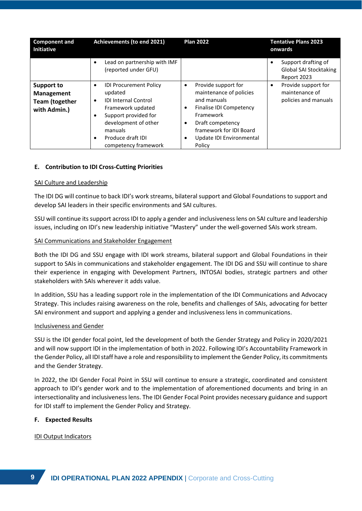| <b>Component and</b><br><b>Initiative</b>                                       | Achievements (to end 2021)                                                                                                                                                                                                               | <b>Plan 2022</b>                                                                                                                                                                                                                       | <b>Tentative Plans 2023</b><br>onwards                             |
|---------------------------------------------------------------------------------|------------------------------------------------------------------------------------------------------------------------------------------------------------------------------------------------------------------------------------------|----------------------------------------------------------------------------------------------------------------------------------------------------------------------------------------------------------------------------------------|--------------------------------------------------------------------|
|                                                                                 | Lead on partnership with IMF<br>$\bullet$<br>(reported under GFU)                                                                                                                                                                        |                                                                                                                                                                                                                                        | Support drafting of<br>Global SAI Stocktaking<br>Report 2023       |
| <b>Support to</b><br><b>Management</b><br><b>Team (together</b><br>with Admin.) | <b>IDI Procurement Policy</b><br>٠<br>updated<br><b>IDI Internal Control</b><br>$\bullet$<br>Framework updated<br>Support provided for<br>$\bullet$<br>development of other<br>manuals<br>Produce draft IDI<br>٠<br>competency framework | Provide support for<br>$\bullet$<br>maintenance of policies<br>and manuals<br>Finalise IDI Competency<br>$\bullet$<br>Framework<br>Draft competency<br>$\bullet$<br>framework for IDI Board<br>Update IDI Environmental<br>٠<br>Policy | Provide support for<br>٠<br>maintenance of<br>policies and manuals |

# **E. Contribution to IDI Cross-Cutting Priorities**

#### SAI Culture and Leadership

The IDI DG will continue to back IDI's work streams, bilateral support and Global Foundations to support and develop SAI leaders in their specific environments and SAI cultures.

SSU will continue its support across IDI to apply a gender and inclusiveness lens on SAI culture and leadership issues, including on IDI's new leadership initiative "Mastery" under the well-governed SAIs work stream.

### SAI Communications and Stakeholder Engagement

Both the IDI DG and SSU engage with IDI work streams, bilateral support and Global Foundations in their support to SAIs in communications and stakeholder engagement. The IDI DG and SSU will continue to share their experience in engaging with Development Partners, INTOSAI bodies, strategic partners and other stakeholders with SAIs wherever it adds value.

In addition, SSU has a leading support role in the implementation of the IDI Communications and Advocacy Strategy. This includes raising awareness on the role, benefits and challenges of SAIs, advocating for better SAI environment and support and applying a gender and inclusiveness lens in communications.

#### Inclusiveness and Gender

SSU is the IDI gender focal point, led the development of both the Gender Strategy and Policy in 2020/2021 and will now support IDI in the implementation of both in 2022. Following IDI's Accountability Framework in the Gender Policy, all IDI staff have a role and responsibility to implement the Gender Policy, its commitments and the Gender Strategy.

In 2022, the IDI Gender Focal Point in SSU will continue to ensure a strategic, coordinated and consistent approach to IDI's gender work and to the implementation of aforementioned documents and bring in an intersectionality and inclusiveness lens. The IDI Gender Focal Point provides necessary guidance and support for IDI staff to implement the Gender Policy and Strategy.

#### **F. Expected Results**

IDI Output Indicators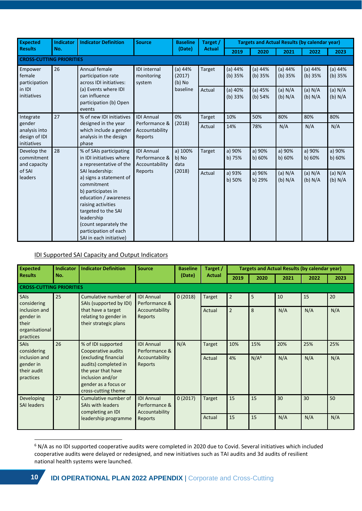| <b>Expected</b>                                                                                    | <b>Indicator</b>                                                                                                                             | <b>Indicator Definition</b>                                                                                                                                                                                                                     | <b>Source</b>                               | <b>Baseline</b>               | Target /           |                      | <b>Targets and Actual Results (by calendar year)</b> |                    |                    |                      |
|----------------------------------------------------------------------------------------------------|----------------------------------------------------------------------------------------------------------------------------------------------|-------------------------------------------------------------------------------------------------------------------------------------------------------------------------------------------------------------------------------------------------|---------------------------------------------|-------------------------------|--------------------|----------------------|------------------------------------------------------|--------------------|--------------------|----------------------|
| <b>Results</b>                                                                                     | No.                                                                                                                                          |                                                                                                                                                                                                                                                 |                                             | (Date)                        | <b>Actual</b>      | 2019                 | 2020                                                 | 2021               | 2022               | 2023                 |
| <b>CROSS-CUTTING PRIORITIES</b>                                                                    |                                                                                                                                              |                                                                                                                                                                                                                                                 |                                             |                               |                    |                      |                                                      |                    |                    |                      |
| Empower<br>female<br>participation                                                                 | 26                                                                                                                                           | Annual female<br>participation rate<br>across IDI initiatives:                                                                                                                                                                                  | <b>IDI</b> internal<br>monitoring<br>system | (a) 44%<br>(2017)<br>$(b)$ No | Target             | (a) 44%<br>(b) 35%   | (a) 44%<br>(b) 35%                                   | (a) 44%<br>(b) 35% | (a) 44%<br>(b) 35% | (a) 44%<br>(b) 35%   |
| in IDI<br>(a) Events where IDI<br>initiatives<br>can influence<br>participation (b) Open<br>events | baseline                                                                                                                                     | Actual                                                                                                                                                                                                                                          | $(a)$ 40%<br>(b) 33%                        | (a) 45%<br>(b) 54%            | (a) N/A<br>(b) N/A | (a) $N/A$<br>(b) N/A | (a) N/A<br>(b) N/A                                   |                    |                    |                      |
| Integrate                                                                                          | 27                                                                                                                                           | % of new IDI initiatives                                                                                                                                                                                                                        | <b>IDI Annual</b>                           | 0%                            | Target             | 10%                  | 50%                                                  | 80%                | 80%                | 80%                  |
| gender<br>analysis into<br>design of IDI<br>initiatives                                            |                                                                                                                                              | designed in the year<br>which include a gender<br>analysis in the design<br>phase                                                                                                                                                               | Performance &<br>Accountability<br>Reports  | (2018)                        | Actual             | 14%                  | 78%                                                  | N/A                | N/A                | N/A                  |
| Develop the<br>commitment<br>and capacity                                                          | 28<br>% of SAIs participating<br><b>IDI Annual</b><br>Performance &<br>in IDI initiatives where<br>a representative of the<br>Accountability | a) 100%<br>b) No<br>data                                                                                                                                                                                                                        | Target                                      | a) 90%<br>$b)$ 75%            | a) 90%<br>b) 60%   | a) 90%<br>b) 60%     | a) 90%<br>b) 60%                                     | a) 90%<br>b) 60%   |                    |                      |
| of SAI<br><b>leaders</b>                                                                           |                                                                                                                                              | SAI leadership:<br>a) signs a statement of<br>commitment<br>b) participates in<br>education / awareness<br>raising activities<br>targeted to the SAI<br>leadership<br>(count separately the<br>participation of each<br>SAI in each initiative) | Reports                                     | (2018)                        | Actual             | a) 93%<br>b) 50%     | a) 96%<br>b) 29%                                     | (a) N/A<br>(b) N/A | (a) N/A<br>(b) N/A | (a) $N/A$<br>(b) N/A |

# IDI Supported SAI Capacity and Output Indicators

| <b>Expected</b>                                                    | <b>Indicator</b><br><b>Indicator Definition</b><br><b>Source</b><br><b>Baseline</b> |                                                                                                                                       | Target /                                             | <b>Targets and Actual Results (by calendar year)</b> |               |                |                  |      |      |      |
|--------------------------------------------------------------------|-------------------------------------------------------------------------------------|---------------------------------------------------------------------------------------------------------------------------------------|------------------------------------------------------|------------------------------------------------------|---------------|----------------|------------------|------|------|------|
| <b>Results</b>                                                     | No.                                                                                 |                                                                                                                                       |                                                      | (Date)                                               | <b>Actual</b> | 2019           | 2020             | 2021 | 2022 | 2023 |
| <b>CROSS-CUTTING PRIORITIES</b>                                    |                                                                                     |                                                                                                                                       |                                                      |                                                      |               |                |                  |      |      |      |
| SAIs<br>considering                                                | 25                                                                                  | Cumulative number of<br>SAIs (supported by IDI)                                                                                       | <b>IDI Annual</b><br>Performance &                   | 0(2018)                                              | <b>Target</b> | $\overline{2}$ | 5                | 10   | 15   | 20   |
| inclusion and<br>gender in<br>their<br>organisational<br>practices |                                                                                     | that have a target<br>relating to gender in<br>their strategic plans                                                                  | Accountability<br>Reports                            |                                                      | Actual        | $\overline{2}$ | 8                | N/A  | N/A  | N/A  |
| SAIs<br>considering                                                | 26                                                                                  | % of IDI supported<br>Cooperative audits                                                                                              | <b>IDI Annual</b><br>Performance &                   | N/A                                                  | <b>Target</b> | 10%            | 15%              | 20%  | 25%  | 25%  |
| inclusion and<br>gender in<br>their audit<br>practices             |                                                                                     | excluding financial)<br>audits) completed in<br>the year that have<br>inclusion and/or<br>gender as a focus or<br>cross-cutting theme | Accountability<br>Reports                            |                                                      | Actual        | 4%             | N/A <sup>6</sup> | N/A  | N/A  | N/A  |
| Developing<br><b>SAI leaders</b>                                   | 27                                                                                  | Cumulative number of<br>SAIs with leaders<br>completing an IDI                                                                        | <b>IDI Annual</b><br>Performance &<br>Accountability | 0(2017)                                              | <b>Target</b> | 15             | 15               | 30   | 30   | 50   |
|                                                                    |                                                                                     | leadership programme                                                                                                                  | Reports                                              |                                                      | Actual        | 15             | 15               | N/A  | N/A  | N/A  |

<sup>6</sup> N/A as no IDI supported cooperative audits were completed in 2020 due to Covid. Several initiatives which included cooperative audits were delayed or redesigned, and new initiatives such as TAI audits and 3d audits of resilient national health systems were launched.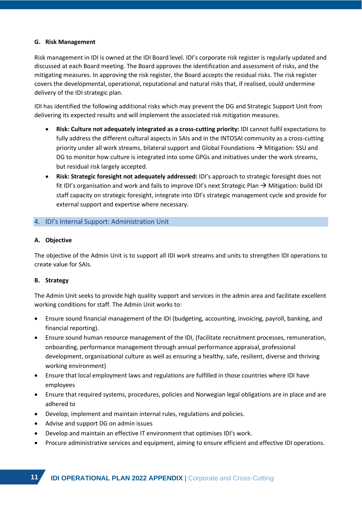# **G. Risk Management**

Risk management in IDI is owned at the IDI Board level. IDI's corporate risk register is regularly updated and discussed at each Board meeting. The Board approves the identification and assessment of risks, and the mitigating measures. In approving the risk register, the Board accepts the residual risks. The risk register covers the developmental, operational, reputational and natural risks that, if realised, could undermine delivery of the IDI strategic plan.

IDI has identified the following additional risks which may prevent the DG and Strategic Support Unit from delivering its expected results and will implement the associated risk mitigation measures.

- **Risk: Culture not adequately integrated as a cross-cutting priority:** IDI cannot fulfil expectations to fully address the different cultural aspects in SAIs and in the INTOSAI community as a cross-cutting priority under all work streams, bilateral support and Global Foundations  $\rightarrow$  Mitigation: SSU and DG to monitor how culture is integrated into some GPGs and initiatives under the work streams, but residual risk largely accepted.
- **Risk: Strategic foresight not adequately addressed:** IDI's approach to strategic foresight does not fit IDI's organisation and work and fails to improve IDI's next Strategic Plan  $\rightarrow$  Mitigation: build IDI staff capacity on strategic foresight, integrate into IDI's strategic management cycle and provide for external support and expertise where necessary.

# <span id="page-10-0"></span>4. IDI's Internal Support: Administration Unit

# **A. Objective**

The objective of the Admin Unit is to support all IDI work streams and units to strengthen IDI operations to create value for SAIs.

# **B. Strategy**

The Admin Unit seeks to provide high quality support and services in the admin area and facilitate excellent working conditions for staff. The Admin Unit works to:

- Ensure sound financial management of the IDI (budgeting, accounting, invoicing, payroll, banking, and financial reporting).
- Ensure sound human resource management of the IDI, (facilitate recruitment processes, remuneration, onboarding, performance management through annual performance appraisal, professional development, organisational culture as well as ensuring a healthy, safe, resilient, diverse and thriving working environment)
- Ensure that local employment laws and regulations are fulfilled in those countries where IDI have employees
- Ensure that required systems, procedures, policies and Norwegian legal obligations are in place and are adhered to
- Develop, implement and maintain internal rules, regulations and policies.
- Advise and support DG on admin issues
- Develop and maintain an effective IT environment that optimises IDI's work.
- Procure administrative services and equipment, aiming to ensure efficient and effective IDI operations.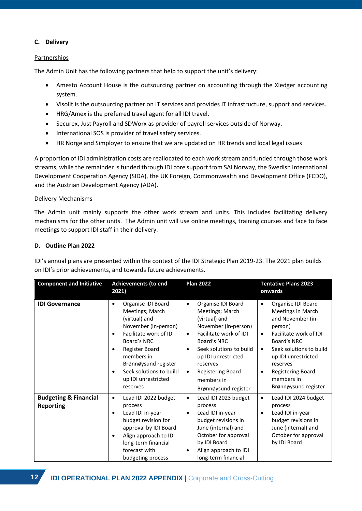# **C. Delivery**

# **Partnerships**

The Admin Unit has the following partners that help to support the unit's delivery:

- Amesto Account House is the outsourcing partner on accounting through the Xledger accounting system.
- Visolit is the outsourcing partner on IT services and provides IT infrastructure, support and services.
- HRG/Amex is the preferred travel agent for all IDI travel.
- Securex, Just Payroll and SDWorx as provider of payroll services outside of Norway.
- International SOS is provider of travel safety services.
- HR Norge and Simployer to ensure that we are updated on HR trends and local legal issues

A proportion of IDI administration costs are reallocated to each work stream and funded through those work streams, while the remainder is funded through IDI core support from SAI Norway, the Swedish International Development Cooperation Agency (SIDA), the UK Foreign, Commonwealth and Development Office (FCDO), and the Austrian Development Agency (ADA).

# Delivery Mechanisms

The Admin unit mainly supports the other work stream and units. This includes facilitating delivery mechanisms for the other units. The Admin unit will use online meetings, training courses and face to face meetings to support IDI staff in their delivery.

# **D. Outline Plan 2022**

IDI's annual plans are presented within the context of the IDI Strategic Plan 2019-23. The 2021 plan builds on IDI's prior achievements, and towards future achievements.

| <b>Component and Initiative</b>                      | <b>Achievements (to end</b><br>2021)                                                                                                                                                                                                                                                              | <b>Plan 2022</b>                                                                                                                                                                                                                                                                                     | <b>Tentative Plans 2023</b><br>onwards                                                                                                                                                                                                                                                       |  |  |
|------------------------------------------------------|---------------------------------------------------------------------------------------------------------------------------------------------------------------------------------------------------------------------------------------------------------------------------------------------------|------------------------------------------------------------------------------------------------------------------------------------------------------------------------------------------------------------------------------------------------------------------------------------------------------|----------------------------------------------------------------------------------------------------------------------------------------------------------------------------------------------------------------------------------------------------------------------------------------------|--|--|
| <b>IDI Governance</b>                                | Organise IDI Board<br>$\bullet$<br>Meetings; March<br>(virtual) and<br>November (in-person)<br>Facilitate work of IDI<br>$\bullet$<br>Board's NRC<br>Register Board<br>$\bullet$<br>members in<br>Brønnøysund register<br>Seek solutions to build<br>$\bullet$<br>up IDI unrestricted<br>reserves | Organise IDI Board<br>$\bullet$<br>Meetings; March<br>(virtual) and<br>November (in-person)<br>Facilitate work of IDI<br>$\bullet$<br>Board's NRC<br>Seek solutions to build<br>$\bullet$<br>up IDI unrestricted<br>reserves<br>Registering Board<br>$\bullet$<br>members in<br>Brønnøysund register | Organise IDI Board<br>$\bullet$<br>Meetings in March<br>and November (in-<br>person)<br>Facilitate work of IDI<br>$\bullet$<br>Board's NRC<br>Seek solutions to build<br>$\bullet$<br>up IDI unrestricted<br>reserves<br><b>Registering Board</b><br>٠<br>members in<br>Brønnøysund register |  |  |
| <b>Budgeting &amp; Financial</b><br><b>Reporting</b> | Lead IDI 2022 budget<br>$\bullet$<br>process<br>Lead IDI in-year<br>$\bullet$<br>budget revision for<br>approval by IDI Board<br>Align approach to IDI<br>٠<br>long-term financial<br>forecast with<br>budgeting process                                                                          | Lead IDI 2023 budget<br>$\bullet$<br>process<br>Lead IDI in-year<br>٠<br>budget revisions in<br>June (internal) and<br>October for approval<br>by IDI Board<br>Align approach to IDI<br>٠<br>long-term financial                                                                                     | Lead IDI 2024 budget<br>$\bullet$<br>process<br>Lead IDI in-year<br>٠<br>budget revisions in<br>June (internal) and<br>October for approval<br>by IDI Board                                                                                                                                  |  |  |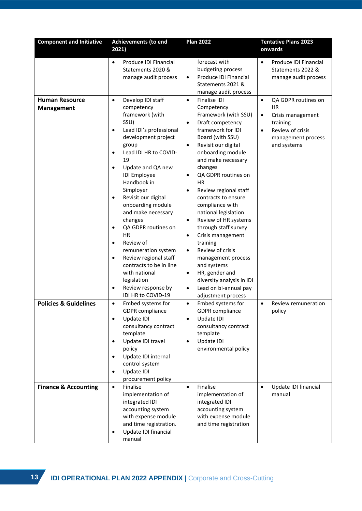| <b>Component and Initiative</b>            | <b>Achievements (to end</b>                                                                                                                                                                                                                                                                                                                                                                                                                                                                                                                                                                                               | <b>Plan 2022</b>                                                                                                                                                                                                                                                                                                                                                                                                                                                                                                                                                                                                                                                                               | <b>Tentative Plans 2023</b>                                                                                                                                       |  |
|--------------------------------------------|---------------------------------------------------------------------------------------------------------------------------------------------------------------------------------------------------------------------------------------------------------------------------------------------------------------------------------------------------------------------------------------------------------------------------------------------------------------------------------------------------------------------------------------------------------------------------------------------------------------------------|------------------------------------------------------------------------------------------------------------------------------------------------------------------------------------------------------------------------------------------------------------------------------------------------------------------------------------------------------------------------------------------------------------------------------------------------------------------------------------------------------------------------------------------------------------------------------------------------------------------------------------------------------------------------------------------------|-------------------------------------------------------------------------------------------------------------------------------------------------------------------|--|
|                                            | 2021)                                                                                                                                                                                                                                                                                                                                                                                                                                                                                                                                                                                                                     |                                                                                                                                                                                                                                                                                                                                                                                                                                                                                                                                                                                                                                                                                                | onwards                                                                                                                                                           |  |
|                                            | Produce IDI Financial<br>$\bullet$<br>Statements 2020 &<br>manage audit process                                                                                                                                                                                                                                                                                                                                                                                                                                                                                                                                           | forecast with<br>budgeting process<br>Produce IDI Financial<br>٠<br>Statements 2021 &<br>manage audit process                                                                                                                                                                                                                                                                                                                                                                                                                                                                                                                                                                                  | Produce IDI Financial<br>$\bullet$<br>Statements 2022 &<br>manage audit process                                                                                   |  |
| <b>Human Resource</b><br><b>Management</b> | Develop IDI staff<br>$\bullet$<br>competency<br>framework (with<br>SSU)<br>Lead IDI's professional<br>$\bullet$<br>development project<br>group<br>Lead IDI HR to COVID-<br>$\bullet$<br>19<br>Update and QA new<br>$\bullet$<br><b>IDI</b> Employee<br>Handbook in<br>Simployer<br>Revisit our digital<br>$\bullet$<br>onboarding module<br>and make necessary<br>changes<br>QA GDPR routines on<br>$\bullet$<br><b>HR</b><br>Review of<br>$\bullet$<br>remuneration system<br>Review regional staff<br>$\bullet$<br>contracts to be in line<br>with national<br>legislation<br>Review response by<br>IDI HR to COVID-19 | Finalise IDI<br>$\bullet$<br>Competency<br>Framework (with SSU)<br>Draft competency<br>$\bullet$<br>framework for IDI<br>Board (with SSU)<br>Revisit our digital<br>$\bullet$<br>onboarding module<br>and make necessary<br>changes<br>QA GDPR routines on<br>$\bullet$<br>НR<br>Review regional staff<br>$\bullet$<br>contracts to ensure<br>compliance with<br>national legislation<br>Review of HR systems<br>$\bullet$<br>through staff survey<br>Crisis management<br>$\bullet$<br>training<br>Review of crisis<br>$\bullet$<br>management process<br>and systems<br>HR, gender and<br>$\bullet$<br>diversity analysis in IDI<br>Lead on bi-annual pay<br>$\bullet$<br>adjustment process | QA GDPR routines on<br>$\bullet$<br><b>HR</b><br>Crisis management<br>$\bullet$<br>training<br>Review of crisis<br>$\bullet$<br>management process<br>and systems |  |
| <b>Policies &amp; Guidelines</b>           | Embed systems for<br>$\bullet$<br><b>GDPR</b> compliance<br>Update IDI<br>$\bullet$<br>consultancy contract<br>template<br>Update IDI travel<br>$\bullet$<br>policy<br>Update IDI internal<br>$\bullet$<br>control system<br>Update IDI<br>$\bullet$<br>procurement policy                                                                                                                                                                                                                                                                                                                                                | Embed systems for<br>$\bullet$<br><b>GDPR</b> compliance<br>Update IDI<br>$\bullet$<br>consultancy contract<br>template<br>Update IDI<br>$\bullet$<br>environmental policy                                                                                                                                                                                                                                                                                                                                                                                                                                                                                                                     | Review remuneration<br>$\bullet$<br>policy                                                                                                                        |  |
| <b>Finance &amp; Accounting</b>            | $\bullet$<br>Finalise<br>implementation of<br>integrated IDI<br>accounting system<br>with expense module<br>and time registration.<br>Update IDI financial<br>$\bullet$<br>manual                                                                                                                                                                                                                                                                                                                                                                                                                                         | Finalise<br>$\bullet$<br>implementation of<br>integrated IDI<br>accounting system<br>with expense module<br>and time registration                                                                                                                                                                                                                                                                                                                                                                                                                                                                                                                                                              | Update IDI financial<br>$\bullet$<br>manual                                                                                                                       |  |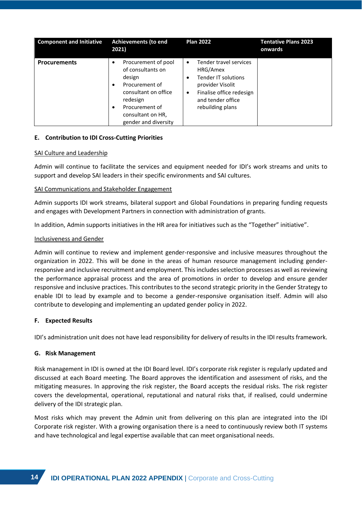| <b>Component and Initiative</b> | <b>Achievements (to end</b><br>2021)                                                                                                                                                                           | <b>Plan 2022</b>                                                                                                                                                          | <b>Tentative Plans 2023</b><br>onwards |
|---------------------------------|----------------------------------------------------------------------------------------------------------------------------------------------------------------------------------------------------------------|---------------------------------------------------------------------------------------------------------------------------------------------------------------------------|----------------------------------------|
| <b>Procurements</b>             | Procurement of pool<br>$\bullet$<br>of consultants on<br>design<br>Procurement of<br>$\bullet$<br>consultant on office<br>redesign<br>Procurement of<br>$\bullet$<br>consultant on HR,<br>gender and diversity | Tender travel services<br>$\bullet$<br>HRG/Amex<br>Tender IT solutions<br>٠<br>provider Visolit<br>Finalise office redesign<br>٠<br>and tender office<br>rebuilding plans |                                        |

# **E. Contribution to IDI Cross-Cutting Priorities**

#### SAI Culture and Leadership

Admin will continue to facilitate the services and equipment needed for IDI's work streams and units to support and develop SAI leaders in their specific environments and SAI cultures.

### SAI Communications and Stakeholder Engagement

Admin supports IDI work streams, bilateral support and Global Foundations in preparing funding requests and engages with Development Partners in connection with administration of grants.

In addition, Admin supports initiatives in the HR area for initiatives such as the "Together" initiative".

### Inclusiveness and Gender

Admin will continue to review and implement gender-responsive and inclusive measures throughout the organization in 2022. This will be done in the areas of human resource management including genderresponsive and inclusive recruitment and employment. This includes selection processes as well as reviewing the performance appraisal process and the area of promotions in order to develop and ensure gender responsive and inclusive practices. This contributes to the second strategic priority in the Gender Strategy to enable IDI to lead by example and to become a gender-responsive organisation itself. Admin will also contribute to developing and implementing an updated gender policy in 2022.

# **F. Expected Results**

IDI's administration unit does not have lead responsibility for delivery of results in the IDI results framework.

# **G. Risk Management**

Risk management in IDI is owned at the IDI Board level. IDI's corporate risk register is regularly updated and discussed at each Board meeting. The Board approves the identification and assessment of risks, and the mitigating measures. In approving the risk register, the Board accepts the residual risks. The risk register covers the developmental, operational, reputational and natural risks that, if realised, could undermine delivery of the IDI strategic plan.

Most risks which may prevent the Admin unit from delivering on this plan are integrated into the IDI Corporate risk register. With a growing organisation there is a need to continuously review both IT systems and have technological and legal expertise available that can meet organisational needs.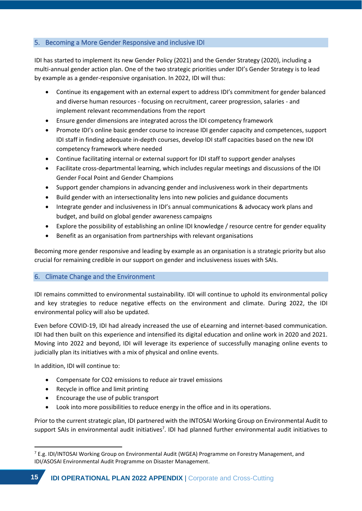# <span id="page-14-0"></span>5. Becoming a More Gender Responsive and inclusive IDI

IDI has started to implement its new Gender Policy (2021) and the Gender Strategy (2020), including a multi-annual gender action plan. One of the two strategic priorities under IDI's Gender Strategy is to lead by example as a gender-responsive organisation. In 2022, IDI will thus:

- Continue its engagement with an external expert to address IDI's commitment for gender balanced and diverse human resources - focusing on recruitment, career progression, salaries - and implement relevant recommendations from the report
- Ensure gender dimensions are integrated across the IDI competency framework
- Promote IDI's online basic gender course to increase IDI gender capacity and competences, support IDI staff in finding adequate in-depth courses, develop IDI staff capacities based on the new IDI competency framework where needed
- Continue facilitating internal or external support for IDI staff to support gender analyses
- Facilitate cross-departmental learning, which includes regular meetings and discussions of the IDI Gender Focal Point and Gender Champions
- Support gender champions in advancing gender and inclusiveness work in their departments
- Build gender with an intersectionality lens into new policies and guidance documents
- Integrate gender and inclusiveness in IDI's annual communications & advocacy work plans and budget, and build on global gender awareness campaigns
- Explore the possibility of establishing an online IDI knowledge / resource centre for gender equality
- Benefit as an organisation from partnerships with relevant organisations

Becoming more gender responsive and leading by example as an organisation is a strategic priority but also crucial for remaining credible in our support on gender and inclusiveness issues with SAIs.

# <span id="page-14-1"></span>6. Climate Change and the Environment

IDI remains committed to environmental sustainability. IDI will continue to uphold its environmental policy and key strategies to reduce negative effects on the environment and climate. During 2022, the IDI environmental policy will also be updated.

Even before COVID-19, IDI had already increased the use of eLearning and internet-based communication. IDI had then built on this experience and intensified its digital education and online work in 2020 and 2021. Moving into 2022 and beyond, IDI will leverage its experience of successfully managing online events to judicially plan its initiatives with a mix of physical and online events.

In addition, IDI will continue to:

- Compensate for CO2 emissions to reduce air travel emissions
- Recycle in office and limit printing
- Encourage the use of public transport
- Look into more possibilities to reduce energy in the office and in its operations.

Prior to the current strategic plan, IDI partnered with the INTOSAI Working Group on Environmental Audit to support SAIs in environmental audit initiatives<sup>7</sup>. IDI had planned further environmental audit initiatives to

 $7$  E.g. IDI/INTOSAI Working Group on Environmental Audit (WGEA) Programme on Forestry Management, and IDI/ASOSAI Environmental Audit Programme on Disaster Management.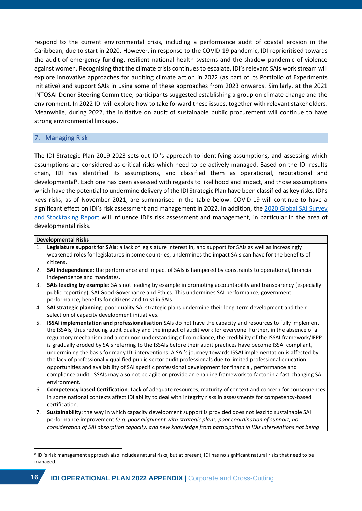respond to the current environmental crisis, including a performance audit of coastal erosion in the Caribbean, due to start in 2020. However, in response to the COVID-19 pandemic, IDI reprioritised towards the audit of emergency funding, resilient national health systems and the shadow pandemic of violence against women. Recognising that the climate crisis continues to escalate, IDI's relevant SAIs work stream will explore innovative approaches for auditing climate action in 2022 (as part of its Portfolio of Experiments initiative) and support SAIs in using some of these approaches from 2023 onwards. Similarly, at the 2021 INTOSAI-Donor Steering Committee, participants suggested establishing a group on climate change and the environment. In 2022 IDI will explore how to take forward these issues, together with relevant stakeholders. Meanwhile, during 2022, the initiative on audit of sustainable public procurement will continue to have strong environmental linkages.

# <span id="page-15-0"></span>7. Managing Risk

The IDI Strategic Plan 2019-2023 sets out IDI's approach to identifying assumptions, and assessing which assumptions are considered as critical risks which need to be actively managed. Based on the IDI results chain, IDI has identified its assumptions, and classified them as operational, reputational and developmental<sup>8</sup>. Each one has been assessed with regards to likelihood and impact, and those assumptions which have the potential to undermine delivery of the IDI Strategic Plan have been classified as key risks. IDI's keys risks, as of November 2021, are summarised in the table below. COVID-19 will continue to have a significant effect on IDI's risk assessment and management in 2022. In addition, the 2020 Global SAI Survey [and Stocktaking Report](https://www.idi.no/elibrary/global-sai-stocktaking-reports-and-research/global-sai-stocktaking-report-2020/1364-idi-global-sai-stocktaking-report-2020/file) will influence IDI's risk assessment and management, in particular in the area of developmental risks.

|    | <b>Developmental Risks</b>                                                                                       |
|----|------------------------------------------------------------------------------------------------------------------|
| 1. | Legislature support for SAIs: a lack of legislature interest in, and support for SAIs as well as increasingly    |
|    | weakened roles for legislatures in some countries, undermines the impact SAIs can have for the benefits of       |
|    | citizens.                                                                                                        |
| 2. | SAI Independence: the performance and impact of SAIs is hampered by constraints to operational, financial        |
|    | independence and mandates.                                                                                       |
| 3. | SAIs leading by example: SAIs not leading by example in promoting accountability and transparency (especially    |
|    | public reporting); SAI Good Governance and Ethics. This undermines SAI performance, government                   |
|    | performance, benefits for citizens and trust in SAIs.                                                            |
| 4. | SAI strategic planning: poor quality SAI strategic plans undermine their long-term development and their         |
|    | selection of capacity development initiatives.                                                                   |
| 5. | ISSAI implementation and professionalisation SAIs do not have the capacity and resources to fully implement      |
|    | the ISSAIs, thus reducing audit quality and the impact of audit work for everyone. Further, in the absence of a  |
|    | regulatory mechanism and a common understanding of compliance, the credibility of the ISSAI framework/IFPP       |
|    | is gradually eroded by SAIs referring to the ISSAIs before their audit practices have become ISSAI compliant,    |
|    | undermining the basis for many IDI interventions. A SAI's journey towards ISSAI implementation is affected by    |
|    | the lack of professionally qualified public sector audit professionals due to limited professional education     |
|    | opportunities and availability of SAI specific professional development for financial, performance and           |
|    | compliance audit. ISSAIs may also not be agile or provide an enabling framework to factor in a fast-changing SAI |
|    | environment.                                                                                                     |
| 6. | Competency based Certification: Lack of adequate resources, maturity of context and concern for consequences     |
|    | in some national contexts affect IDI ability to deal with integrity risks in assessments for competency-based    |
|    | certification.                                                                                                   |
| 7. | Sustainability: the way in which capacity development support is provided does not lead to sustainable SAI       |
|    | performance improvement (e.g. poor alignment with strategic plans, poor coordination of support, no              |
|    | consideration of SAI absorption capacity, and new knowledge from participation in IDIs interventions not being   |

<sup>8</sup> IDI's risk management approach also includes natural risks, but at present, IDI has no significant natural risks that need to be managed.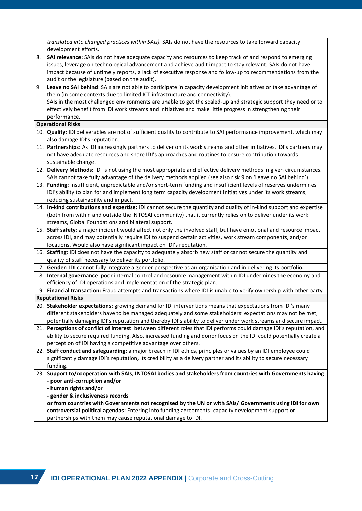|    | translated into changed practices within SAIs). SAIs do not have the resources to take forward capacity                                                                                                                                                                                                                                                                               |  |  |  |  |  |  |  |  |  |  |
|----|---------------------------------------------------------------------------------------------------------------------------------------------------------------------------------------------------------------------------------------------------------------------------------------------------------------------------------------------------------------------------------------|--|--|--|--|--|--|--|--|--|--|
|    | development efforts.                                                                                                                                                                                                                                                                                                                                                                  |  |  |  |  |  |  |  |  |  |  |
| 8. | SAI relevance: SAIs do not have adequate capacity and resources to keep track of and respond to emerging<br>issues, leverage on technological advancement and achieve audit impact to stay relevant. SAIs do not have<br>impact because of untimely reports, a lack of executive response and follow-up to recommendations from the<br>audit or the legislature (based on the audit). |  |  |  |  |  |  |  |  |  |  |
|    |                                                                                                                                                                                                                                                                                                                                                                                       |  |  |  |  |  |  |  |  |  |  |
| 9. | Leave no SAI behind: SAIs are not able to participate in capacity development initiatives or take advantage of                                                                                                                                                                                                                                                                        |  |  |  |  |  |  |  |  |  |  |
|    | them (in some contexts due to limited ICT infrastructure and connectivity).                                                                                                                                                                                                                                                                                                           |  |  |  |  |  |  |  |  |  |  |
|    | SAIs in the most challenged environments are unable to get the scaled-up and strategic support they need or to                                                                                                                                                                                                                                                                        |  |  |  |  |  |  |  |  |  |  |
|    | effectively benefit from IDI work streams and initiatives and make little progress in strengthening their                                                                                                                                                                                                                                                                             |  |  |  |  |  |  |  |  |  |  |
|    | performance.                                                                                                                                                                                                                                                                                                                                                                          |  |  |  |  |  |  |  |  |  |  |
|    | <b>Operational Risks</b>                                                                                                                                                                                                                                                                                                                                                              |  |  |  |  |  |  |  |  |  |  |
|    | 10. Quality: IDI deliverables are not of sufficient quality to contribute to SAI performance improvement, which may                                                                                                                                                                                                                                                                   |  |  |  |  |  |  |  |  |  |  |
|    | also damage IDI's reputation.                                                                                                                                                                                                                                                                                                                                                         |  |  |  |  |  |  |  |  |  |  |
|    | 11. Partnerships: As IDI increasingly partners to deliver on its work streams and other initiatives, IDI's partners may                                                                                                                                                                                                                                                               |  |  |  |  |  |  |  |  |  |  |
|    | not have adequate resources and share IDI's approaches and routines to ensure contribution towards                                                                                                                                                                                                                                                                                    |  |  |  |  |  |  |  |  |  |  |
|    | sustainable change.                                                                                                                                                                                                                                                                                                                                                                   |  |  |  |  |  |  |  |  |  |  |
|    | 12. Delivery Methods: IDI is not using the most appropriate and effective delivery methods in given circumstances.                                                                                                                                                                                                                                                                    |  |  |  |  |  |  |  |  |  |  |
|    | SAIs cannot take fully advantage of the delivery methods applied (see also risk 9 on 'Leave no SAI behind').                                                                                                                                                                                                                                                                          |  |  |  |  |  |  |  |  |  |  |
|    | 13. Funding: Insufficient, unpredictable and/or short-term funding and insufficient levels of reserves undermines                                                                                                                                                                                                                                                                     |  |  |  |  |  |  |  |  |  |  |
|    | IDI's ability to plan for and implement long term capacity development initiatives under its work streams,                                                                                                                                                                                                                                                                            |  |  |  |  |  |  |  |  |  |  |
|    | reducing sustainability and impact.                                                                                                                                                                                                                                                                                                                                                   |  |  |  |  |  |  |  |  |  |  |
|    | 14. In-kind contributions and expertise: IDI cannot secure the quantity and quality of in-kind support and expertise                                                                                                                                                                                                                                                                  |  |  |  |  |  |  |  |  |  |  |
|    | (both from within and outside the INTOSAI community) that it currently relies on to deliver under its work                                                                                                                                                                                                                                                                            |  |  |  |  |  |  |  |  |  |  |
|    | streams, Global Foundations and bilateral support.                                                                                                                                                                                                                                                                                                                                    |  |  |  |  |  |  |  |  |  |  |
|    | 15. Staff safety: a major incident would affect not only the involved staff, but have emotional and resource impact                                                                                                                                                                                                                                                                   |  |  |  |  |  |  |  |  |  |  |
|    | across IDI, and may potentially require IDI to suspend certain activities, work stream components, and/or                                                                                                                                                                                                                                                                             |  |  |  |  |  |  |  |  |  |  |
|    | locations. Would also have significant impact on IDI's reputation.                                                                                                                                                                                                                                                                                                                    |  |  |  |  |  |  |  |  |  |  |
|    | 16. Staffing: IDI does not have the capacity to adequately absorb new staff or cannot secure the quantity and                                                                                                                                                                                                                                                                         |  |  |  |  |  |  |  |  |  |  |
|    | quality of staff necessary to deliver its portfolio.                                                                                                                                                                                                                                                                                                                                  |  |  |  |  |  |  |  |  |  |  |
|    | 17. Gender: IDI cannot fully integrate a gender perspective as an organisation and in delivering its portfolio.                                                                                                                                                                                                                                                                       |  |  |  |  |  |  |  |  |  |  |
|    | 18. Internal governance: poor internal control and resource management within IDI undermines the economy and                                                                                                                                                                                                                                                                          |  |  |  |  |  |  |  |  |  |  |
|    | efficiency of IDI operations and implementation of the strategic plan.                                                                                                                                                                                                                                                                                                                |  |  |  |  |  |  |  |  |  |  |
|    | 19. Financial transaction: Fraud attempts and transactions where IDI is unable to verify ownership with other party.                                                                                                                                                                                                                                                                  |  |  |  |  |  |  |  |  |  |  |
|    | <b>Reputational Risks</b>                                                                                                                                                                                                                                                                                                                                                             |  |  |  |  |  |  |  |  |  |  |
|    | 20. Stakeholder expectations: growing demand for IDI interventions means that expectations from IDI's many                                                                                                                                                                                                                                                                            |  |  |  |  |  |  |  |  |  |  |
|    | different stakeholders have to be managed adequately and some stakeholders' expectations may not be met,                                                                                                                                                                                                                                                                              |  |  |  |  |  |  |  |  |  |  |
|    | potentially damaging IDI's reputation and thereby IDI's ability to deliver under work streams and secure impact.                                                                                                                                                                                                                                                                      |  |  |  |  |  |  |  |  |  |  |
|    | 21. Perceptions of conflict of interest: between different roles that IDI performs could damage IDI's reputation, and                                                                                                                                                                                                                                                                 |  |  |  |  |  |  |  |  |  |  |
|    | ability to secure required funding. Also, increased funding and donor focus on the IDI could potentially create a                                                                                                                                                                                                                                                                     |  |  |  |  |  |  |  |  |  |  |
|    | perception of IDI having a competitive advantage over others.                                                                                                                                                                                                                                                                                                                         |  |  |  |  |  |  |  |  |  |  |
|    | 22. Staff conduct and safeguarding: a major breach in IDI ethics, principles or values by an IDI employee could                                                                                                                                                                                                                                                                       |  |  |  |  |  |  |  |  |  |  |
|    | significantly damage IDI's reputation, its credibility as a delivery partner and its ability to secure necessary                                                                                                                                                                                                                                                                      |  |  |  |  |  |  |  |  |  |  |
|    | funding.                                                                                                                                                                                                                                                                                                                                                                              |  |  |  |  |  |  |  |  |  |  |
|    | 23. Support to/cooperation with SAIs, INTOSAI bodies and stakeholders from countries with Governments having                                                                                                                                                                                                                                                                          |  |  |  |  |  |  |  |  |  |  |
|    | - poor anti-corruption and/or                                                                                                                                                                                                                                                                                                                                                         |  |  |  |  |  |  |  |  |  |  |
|    | - human rights and/or                                                                                                                                                                                                                                                                                                                                                                 |  |  |  |  |  |  |  |  |  |  |
|    | - gender & inclusiveness records                                                                                                                                                                                                                                                                                                                                                      |  |  |  |  |  |  |  |  |  |  |
|    | or from countries with Governments not recognised by the UN or with SAIs/ Governments using IDI for own                                                                                                                                                                                                                                                                               |  |  |  |  |  |  |  |  |  |  |
|    | controversial political agendas: Entering into funding agreements, capacity development support or                                                                                                                                                                                                                                                                                    |  |  |  |  |  |  |  |  |  |  |
|    | partnerships with them may cause reputational damage to IDI.                                                                                                                                                                                                                                                                                                                          |  |  |  |  |  |  |  |  |  |  |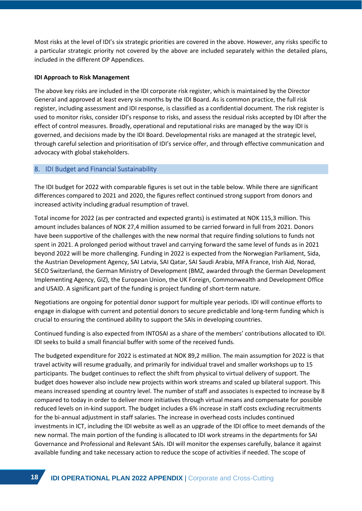Most risks at the level of IDI's six strategic priorities are covered in the above. However, any risks specific to a particular strategic priority not covered by the above are included separately within the detailed plans, included in the different OP Appendices.

#### **IDI Approach to Risk Management**

The above key risks are included in the IDI corporate risk register, which is maintained by the Director General and approved at least every six months by the IDI Board. As is common practice, the full risk register, including assessment and IDI response, is classified as a confidential document. The risk register is used to monitor risks, consider IDI's response to risks, and assess the residual risks accepted by IDI after the effect of control measures. Broadly, operational and reputational risks are managed by the way IDI is governed, and decisions made by the IDI Board. Developmental risks are managed at the strategic level, through careful selection and prioritisation of IDI's service offer, and through effective communication and advocacy with global stakeholders.

# <span id="page-17-0"></span>8. IDI Budget and Financial Sustainability

The IDI budget for 2022 with comparable figures is set out in the table below. While there are significant differences compared to 2021 and 2020, the figures reflect continued strong support from donors and increased activity including gradual resumption of travel.

Total income for 2022 (as per contracted and expected grants) is estimated at NOK 115,3 million. This amount includes balances of NOK 27,4 million assumed to be carried forward in full from 2021. Donors have been supportive of the challenges with the new normal that require finding solutions to funds not spent in 2021. A prolonged period without travel and carrying forward the same level of funds as in 2021 beyond 2022 will be more challenging. Funding in 2022 is expected from the Norwegian Parliament, Sida, the Austrian Development Agency, SAI Latvia, SAI Qatar, SAI Saudi Arabia, MFA France, Irish Aid, Norad, SECO Switzerland, the German Ministry of Development (BMZ, awarded through the German Development Implementing Agency, GIZ), the European Union, the UK Foreign, Commonwealth and Development Office and USAID. A significant part of the funding is project funding of short-term nature.

Negotiations are ongoing for potential donor support for multiple year periods. IDI will continue efforts to engage in dialogue with current and potential donors to secure predictable and long-term funding which is crucial to ensuring the continued ability to support the SAIs in developing countries.

Continued funding is also expected from INTOSAI as a share of the members' contributions allocated to IDI. IDI seeks to build a small financial buffer with some of the received funds.

The budgeted expenditure for 2022 is estimated at NOK 89,2 million. The main assumption for 2022 is that travel activity will resume gradually, and primarily for individual travel and smaller workshops up to 15 participants. The budget continues to reflect the shift from physical to virtual delivery of support. The budget does however also include new projects within work streams and scaled up bilateral support. This means increased spending at country level. The number of staff and associates is expected to increase by 8 compared to today in order to deliver more initiatives through virtual means and compensate for possible reduced levels on in-kind support. The budget includes a 6% increase in staff costs excluding recruitments for the bi-annual adjustment in staff salaries. The increase in overhead costs includes continued investments in ICT, including the IDI website as well as an upgrade of the IDI office to meet demands of the new normal. The main portion of the funding is allocated to IDI work streams in the departments for SAI Governance and Professional and Relevant SAIs. IDI will monitor the expenses carefully, balance it against available funding and take necessary action to reduce the scope of activities if needed. The scope of